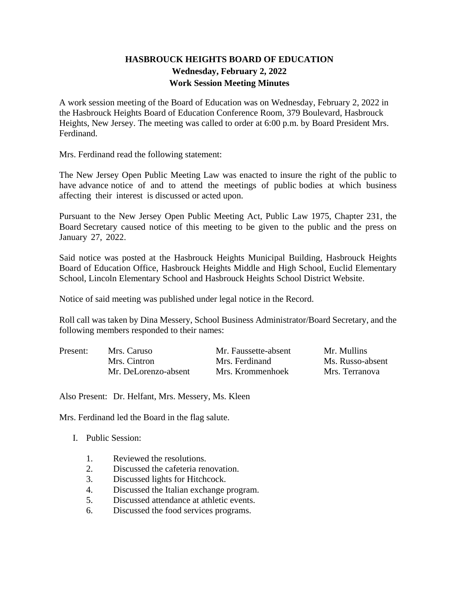## **HASBROUCK HEIGHTS BOARD OF EDUCATION Wednesday, February 2, 2022 Work Session Meeting Minutes**

A work session meeting of the Board of Education was on Wednesday, February 2, 2022 in the Hasbrouck Heights Board of Education Conference Room, 379 Boulevard, Hasbrouck Heights, New Jersey. The meeting was called to order at 6:00 p.m. by Board President Mrs. Ferdinand.

Mrs. Ferdinand read the following statement:

The New Jersey Open Public Meeting Law was enacted to insure the right of the public to have advance notice of and to attend the meetings of public bodies at which business affecting their interest is discussed or acted upon.

Pursuant to the New Jersey Open Public Meeting Act, Public Law 1975, Chapter 231, the Board Secretary caused notice of this meeting to be given to the public and the press on January 27, 2022.

Said notice was posted at the Hasbrouck Heights Municipal Building, Hasbrouck Heights Board of Education Office, Hasbrouck Heights Middle and High School, Euclid Elementary School, Lincoln Elementary School and Hasbrouck Heights School District Website.

Notice of said meeting was published under legal notice in the Record.

Roll call was taken by Dina Messery, School Business Administrator/Board Secretary, and the following members responded to their names:

| Present: | Mrs. Caruso          | Mr. Faussette-absent | Mr. Mullins      |
|----------|----------------------|----------------------|------------------|
|          | Mrs. Cintron         | Mrs. Ferdinand       | Ms. Russo-absent |
|          | Mr. DeLorenzo-absent | Mrs. Krommenhoek     | Mrs. Terranova   |

Also Present: Dr. Helfant, Mrs. Messery, Ms. Kleen

Mrs. Ferdinand led the Board in the flag salute.

- I. Public Session:
	- 1. Reviewed the resolutions.
	- 2. Discussed the cafeteria renovation.
	- 3. Discussed lights for Hitchcock.
	- 4. Discussed the Italian exchange program.
	- 5. Discussed attendance at athletic events.
	- 6. Discussed the food services programs.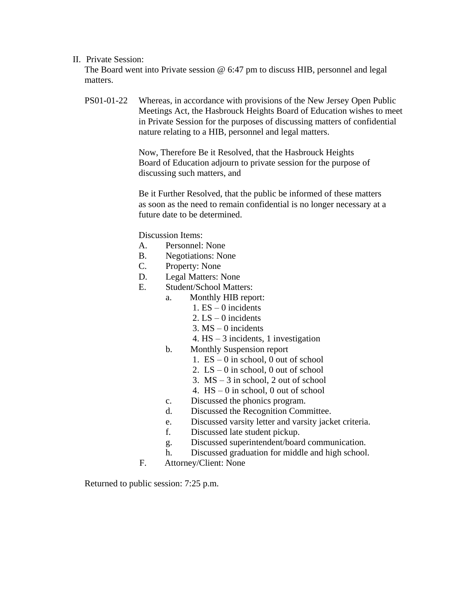## II. Private Session:

The Board went into Private session @ 6:47 pm to discuss HIB, personnel and legal matters.

PS01-01-22 Whereas, in accordance with provisions of the New Jersey Open Public Meetings Act, the Hasbrouck Heights Board of Education wishes to meet in Private Session for the purposes of discussing matters of confidential nature relating to a HIB, personnel and legal matters.

> Now, Therefore Be it Resolved, that the Hasbrouck Heights Board of Education adjourn to private session for the purpose of discussing such matters, and

Be it Further Resolved, that the public be informed of these matters as soon as the need to remain confidential is no longer necessary at a future date to be determined.

Discussion Items:

- A. Personnel: None
- B. Negotiations: None
- C. Property: None
- D. Legal Matters: None
- E. Student/School Matters:
	- a. Monthly HIB report:
		- 1.  $ES 0$  incidents
		- 2.  $LS 0$  incidents
		- $3. MS 0$  incidents
		- 4. HS 3 incidents, 1 investigation
	- b. Monthly Suspension report
		- 1.  $ES 0$  in school, 0 out of school
		- 2.  $LS 0$  in school, 0 out of school
		- 3.  $MS 3$  in school, 2 out of school
		- 4. HS 0 in school, 0 out of school
	- c. Discussed the phonics program.
	- d. Discussed the Recognition Committee.
	- e. Discussed varsity letter and varsity jacket criteria.
	- f. Discussed late student pickup.
	- g. Discussed superintendent/board communication.
	- h. Discussed graduation for middle and high school.
- F. Attorney/Client: None

Returned to public session: 7:25 p.m.